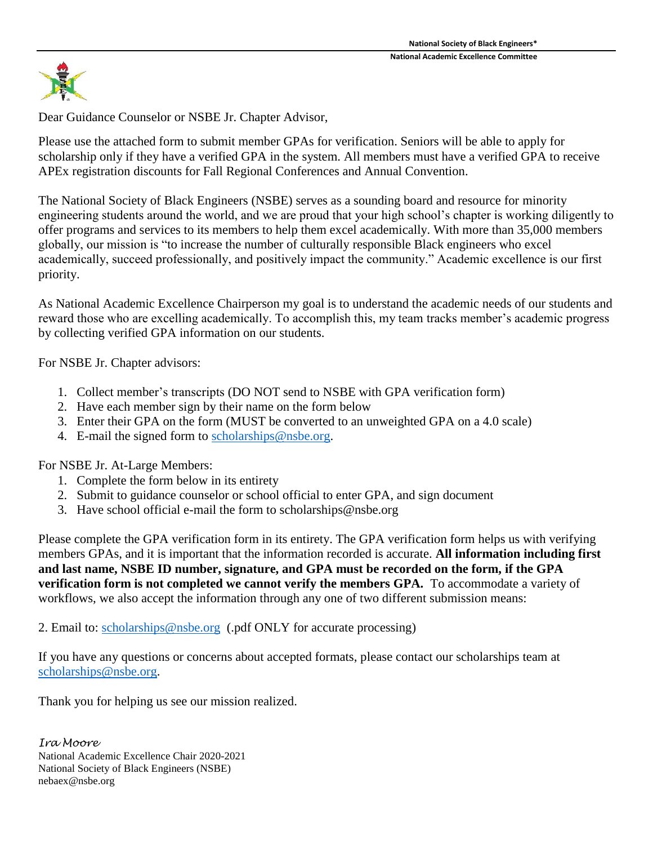

Dear Guidance Counselor or NSBE Jr. Chapter Advisor,

Please use the attached form to submit member GPAs for verification. Seniors will be able to apply for scholarship only if they have a verified GPA in the system. All members must have a verified GPA to receive APEx registration discounts for Fall Regional Conferences and Annual Convention.

The National Society of Black Engineers (NSBE) serves as a sounding board and resource for minority engineering students around the world, and we are proud that your high school's chapter is working diligently to offer programs and services to its members to help them excel academically. With more than 35,000 members globally, our mission is "to increase the number of culturally responsible Black engineers who excel academically, succeed professionally, and positively impact the community." Academic excellence is our first priority.

As National Academic Excellence Chairperson my goal is to understand the academic needs of our students and reward those who are excelling academically. To accomplish this, my team tracks member's academic progress by collecting verified GPA information on our students.

For NSBE Jr. Chapter advisors:

- 1. Collect member's transcripts (DO NOT send to NSBE with GPA verification form)
- 2. Have each member sign by their name on the form below
- 3. Enter their GPA on the form (MUST be converted to an unweighted GPA on a 4.0 scale)
- 4. E-mail the signed form to [scholarships@nsbe.org.](mailto:scholarships@nsbe.org)

For NSBE Jr. At-Large Members:

- 1. Complete the form below in its entirety
- 2. Submit to guidance counselor or school official to enter GPA, and sign document
- 3. Have school official e-mail the form to scholarships@nsbe.org

Please complete the GPA verification form in its entirety. The GPA verification form helps us with verifying members GPAs, and it is important that the information recorded is accurate. **All information including first and last name, NSBE ID number, signature, and GPA must be recorded on the form, if the GPA verification form is not completed we cannot verify the members GPA.** To accommodate a variety of workflows, we also accept the information through any one of two different submission means:

2. Email to: [scholarships@nsbe.org](mailto:scholarships@nsbe.org) (.pdf ONLY for accurate processing)

If you have any questions or concerns about accepted formats, please contact our scholarships team at [scholarships@nsbe.org.](mailto:scholarships@nsbe.org)

Thank you for helping us see our mission realized.

*Ira Moore*  National Academic Excellence Chair 2020-2021 National Society of Black Engineers (NSBE) nebaex@nsbe.org